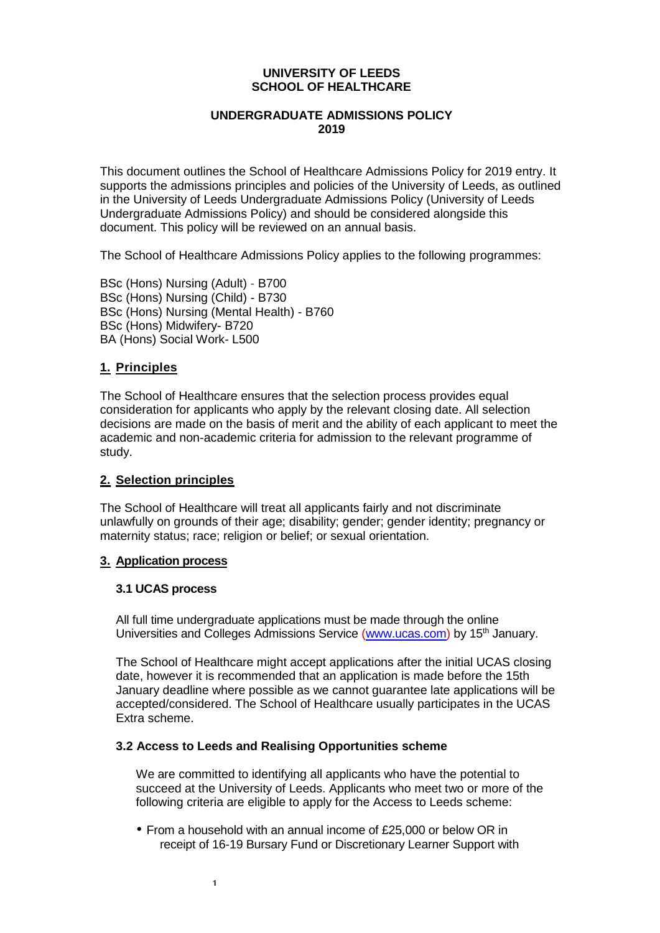## **UNIVERSITY OF LEEDS SCHOOL OF HEALTHCARE**

### **UNDERGRADUATE ADMISSIONS POLICY 2019**

This document outlines the School of Healthcare Admissions Policy for 2019 entry. It supports the admissions principles and policies of the University of Leeds, as outlined in the University of Leeds Undergraduate Admissions Policy (University of Leeds Undergraduate Admissions Policy) and should be considered alongside this document. This policy will be reviewed on an annual basis.

The School of Healthcare Admissions Policy applies to the following programmes:

BSc (Hons) Nursing (Adult) - B700 BSc (Hons) Nursing (Child) - B730 BSc (Hons) Nursing (Mental Health) - B760 BSc (Hons) Midwifery- B720 BA (Hons) Social Work- L500

## **1. Principles**

The School of Healthcare ensures that the selection process provides equal consideration for applicants who apply by the relevant closing date. All selection decisions are made on the basis of merit and the ability of each applicant to meet the academic and non-academic criteria for admission to the relevant programme of study.

# **2. Selection principles**

The School of Healthcare will treat all applicants fairly and not discriminate unlawfully on grounds of their age; disability; gender; gender identity; pregnancy or maternity status; race; religion or belief; or sexual orientation.

## **3. Application process**

## **3.1 UCAS process**

All full time undergraduate applications must be made through the online Universities and Colleges Admissions Service [\(www.ucas.com\)](http://www.ucas.com/) by 15th January.

The School of Healthcare might accept applications after the initial UCAS closing date, however it is recommended that an application is made before the 15th January deadline where possible as we cannot guarantee late applications will be accepted/considered. The School of Healthcare usually participates in the UCAS Extra scheme.

## **3.2 Access to Leeds and Realising Opportunities scheme**

We are committed to identifying all applicants who have the potential to succeed at the University of Leeds. Applicants who meet two or more of the following criteria are eligible to apply for the Access to Leeds scheme:

• From a household with an annual income of £25,000 or below OR in receipt of 16-19 Bursary Fund or Discretionary Learner Support with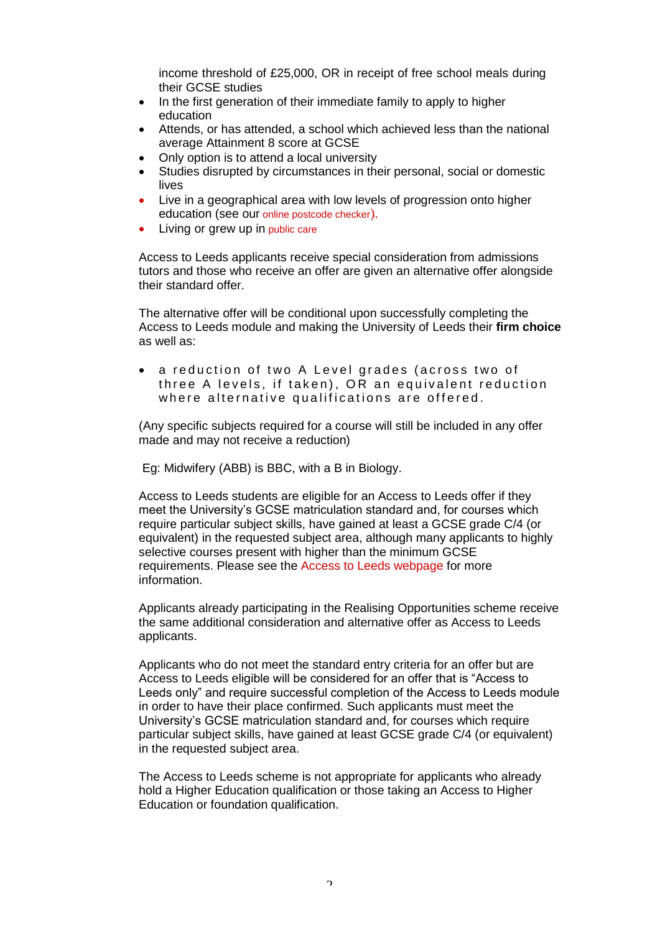income threshold of £25,000, OR in receipt of free school meals during their GCSE studies

- In the first generation of their immediate family to apply to higher education
- Attends, or has attended, a school which achieved less than the national average Attainment 8 score at GCSE
- Only option is to attend a local university
- Studies disrupted by circumstances in their personal, social or domestic lives
- Live in a geographical area with low levels of progression onto higher education (see our online postcode checker).
- Living or grew up in public care

Access to Leeds applicants receive special consideration from admissions tutors and those who receive an offer are given an alternative offer alongside their standard offer.

The alternative offer will be conditional upon successfully completing the Access to Leeds module and making the University of Leeds their **firm choice** as well as:

• a reduction of two A Level grades (across two of three A levels, if taken). OR an equivalent reduction where alternative qualifications are offered.

(Any specific subjects required for a course will still be included in any offer made and may not receive a reduction)

Eg: Midwifery (ABB) is BBC, with a B in Biology.

Access to Leeds students are eligible for an Access to Leeds offer if they meet the University's GCSE matriculation standard and, for courses which require particular subject skills, have gained at least a GCSE grade C/4 (or equivalent) in the requested subject area, although many applicants to highly selective courses present with higher than the minimum GCSE requirements. Please see the Access to Leeds webpage for more information.

Applicants already participating in the Realising Opportunities scheme receive the same additional consideration and alternative offer as Access to Leeds applicants.

Applicants who do not meet the standard entry criteria for an offer but are Access to Leeds eligible will be considered for an offer that is "Access to Leeds only" and require successful completion of the Access to Leeds module in order to have their place confirmed. Such applicants must meet the University's GCSE matriculation standard and, for courses which require particular subject skills, have gained at least GCSE grade C/4 (or equivalent) in the requested subject area.

The Access to Leeds scheme is not appropriate for applicants who already hold a Higher Education qualification or those taking an Access to Higher Education or foundation qualification.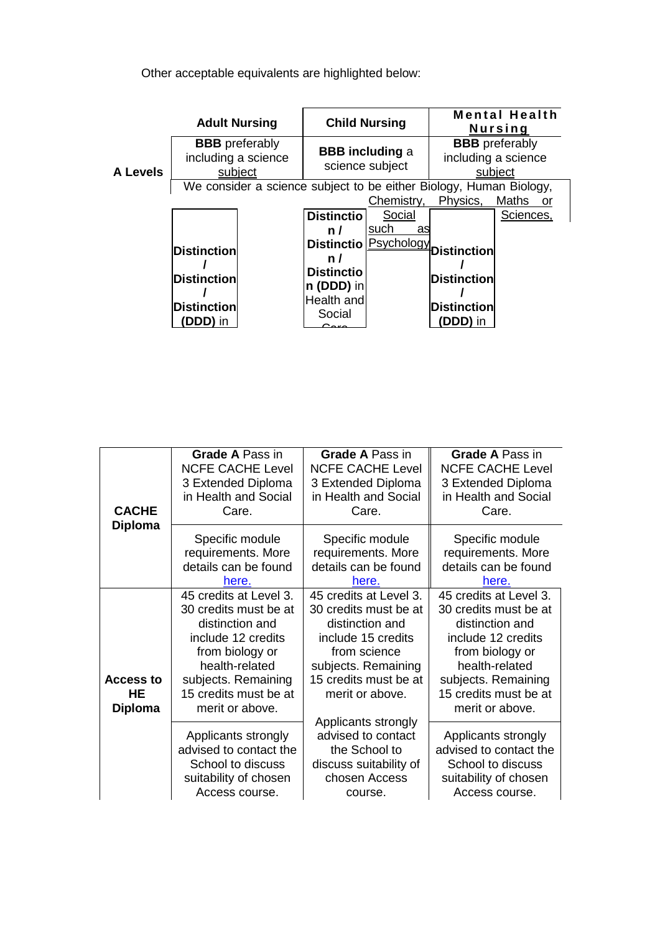Other acceptable equivalents are highlighted below:

|                 | <b>Adult Nursing</b>                                                                      |  | <b>Child Nursing</b>                                                                       |                      | <b>Mental Health</b><br>Nursing                                                      |                    |
|-----------------|-------------------------------------------------------------------------------------------|--|--------------------------------------------------------------------------------------------|----------------------|--------------------------------------------------------------------------------------|--------------------|
| <b>A Levels</b> | <b>BBB</b> preferably<br>including a science<br>subject                                   |  | <b>BBB</b> including a<br>science subject                                                  |                      | <b>BBB</b> preferably<br>including a science<br>subject                              |                    |
|                 | We consider a science subject to be either Biology, Human Biology,<br>Chemistry, Physics, |  |                                                                                            |                      |                                                                                      | <b>Maths</b><br>or |
|                 | <b>Distinction</b><br><b>Distinction</b><br><b>Distinction</b><br><b>DDD)</b> in          |  | <b>Distinctio</b><br>n/<br>n/<br><b>Distinctio</b><br>$n$ (DDD) in<br>Health and<br>Social | Social<br>such<br>as | Distinctio Fsychology Distinction<br> Distinction <br><b>Distinction</b><br>(DDD) in | Sciences,          |

| <b>CACHE</b>                             | <b>Grade A Pass in</b>                                                                                                                                                                           | <b>Grade A Pass in</b>                                                                                                                                                                             | Grade A Pass in                                                                                                                                                                                  |  |
|------------------------------------------|--------------------------------------------------------------------------------------------------------------------------------------------------------------------------------------------------|----------------------------------------------------------------------------------------------------------------------------------------------------------------------------------------------------|--------------------------------------------------------------------------------------------------------------------------------------------------------------------------------------------------|--|
|                                          | <b>NCFE CACHE Level</b>                                                                                                                                                                          | <b>NCFE CACHE Level</b>                                                                                                                                                                            | <b>NCFE CACHE Level</b>                                                                                                                                                                          |  |
|                                          | 3 Extended Diploma                                                                                                                                                                               | 3 Extended Diploma                                                                                                                                                                                 | 3 Extended Diploma                                                                                                                                                                               |  |
|                                          | in Health and Social                                                                                                                                                                             | in Health and Social                                                                                                                                                                               | in Health and Social                                                                                                                                                                             |  |
|                                          | Care.                                                                                                                                                                                            | Care.                                                                                                                                                                                              | Care.                                                                                                                                                                                            |  |
| <b>Diploma</b>                           | Specific module                                                                                                                                                                                  | Specific module                                                                                                                                                                                    | Specific module                                                                                                                                                                                  |  |
|                                          | requirements. More                                                                                                                                                                               | requirements. More                                                                                                                                                                                 | requirements. More                                                                                                                                                                               |  |
|                                          | details can be found                                                                                                                                                                             | details can be found                                                                                                                                                                               | details can be found                                                                                                                                                                             |  |
|                                          | here.                                                                                                                                                                                            | here.                                                                                                                                                                                              | here.                                                                                                                                                                                            |  |
| <b>Access to</b><br>HE<br><b>Diploma</b> | 45 credits at Level 3.<br>30 credits must be at<br>distinction and<br>include 12 credits<br>from biology or<br>health-related<br>subjects. Remaining<br>15 credits must be at<br>merit or above. | 45 credits at Level 3.<br>30 credits must be at<br>distinction and<br>include 15 credits<br>from science<br>subjects. Remaining<br>15 credits must be at<br>merit or above.<br>Applicants strongly | 45 credits at Level 3.<br>30 credits must be at<br>distinction and<br>include 12 credits<br>from biology or<br>health-related<br>subjects. Remaining<br>15 credits must be at<br>merit or above. |  |
|                                          | Applicants strongly                                                                                                                                                                              | advised to contact                                                                                                                                                                                 | Applicants strongly                                                                                                                                                                              |  |
|                                          | advised to contact the                                                                                                                                                                           | the School to                                                                                                                                                                                      | advised to contact the                                                                                                                                                                           |  |
|                                          | School to discuss                                                                                                                                                                                | discuss suitability of                                                                                                                                                                             | School to discuss                                                                                                                                                                                |  |
|                                          | suitability of chosen                                                                                                                                                                            | chosen Access                                                                                                                                                                                      | suitability of chosen                                                                                                                                                                            |  |
|                                          | Access course.                                                                                                                                                                                   | course.                                                                                                                                                                                            | Access course.                                                                                                                                                                                   |  |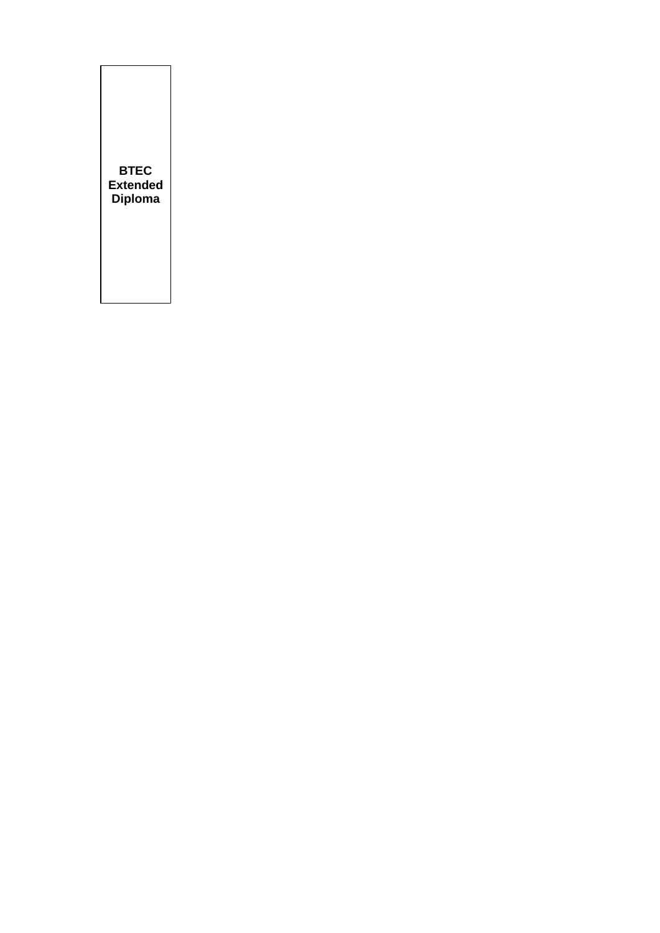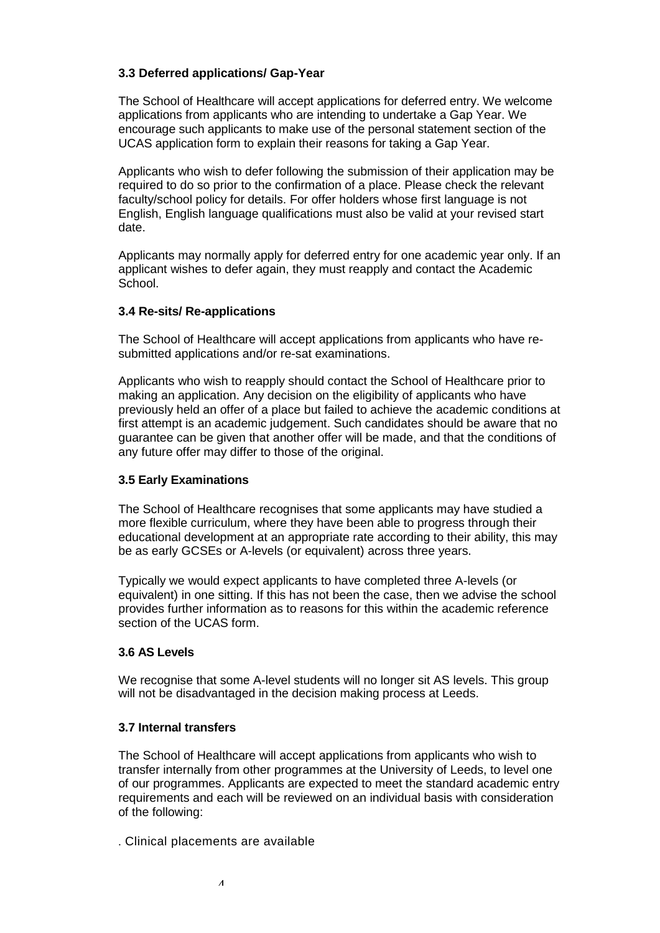# **3.3 Deferred applications/ Gap-Year**

The School of Healthcare will accept applications for deferred entry. We welcome applications from applicants who are intending to undertake a Gap Year. We encourage such applicants to make use of the personal statement section of the UCAS application form to explain their reasons for taking a Gap Year.

Applicants who wish to defer following the submission of their application may be required to do so prior to the confirmation of a place. Please check the relevant faculty/school policy for details. For offer holders whose first language is not English, English language qualifications must also be valid at your revised start date.

Applicants may normally apply for deferred entry for one academic year only. If an applicant wishes to defer again, they must reapply and contact the Academic School.

## **3.4 Re-sits/ Re-applications**

The School of Healthcare will accept applications from applicants who have resubmitted applications and/or re-sat examinations.

Applicants who wish to reapply should contact the School of Healthcare prior to making an application. Any decision on the eligibility of applicants who have previously held an offer of a place but failed to achieve the academic conditions at first attempt is an academic judgement. Such candidates should be aware that no guarantee can be given that another offer will be made, and that the conditions of any future offer may differ to those of the original.

## **3.5 Early Examinations**

The School of Healthcare recognises that some applicants may have studied a more flexible curriculum, where they have been able to progress through their educational development at an appropriate rate according to their ability, this may be as early GCSEs or A-levels (or equivalent) across three years.

Typically we would expect applicants to have completed three A-levels (or equivalent) in one sitting. If this has not been the case, then we advise the school provides further information as to reasons for this within the academic reference section of the UCAS form.

## **3.6 AS Levels**

We recognise that some A-level students will no longer sit AS levels. This group will not be disadvantaged in the decision making process at Leeds.

## **3.7 Internal transfers**

The School of Healthcare will accept applications from applicants who wish to transfer internally from other programmes at the University of Leeds, to level one of our programmes. Applicants are expected to meet the standard academic entry requirements and each will be reviewed on an individual basis with consideration of the following:

. Clinical placements are available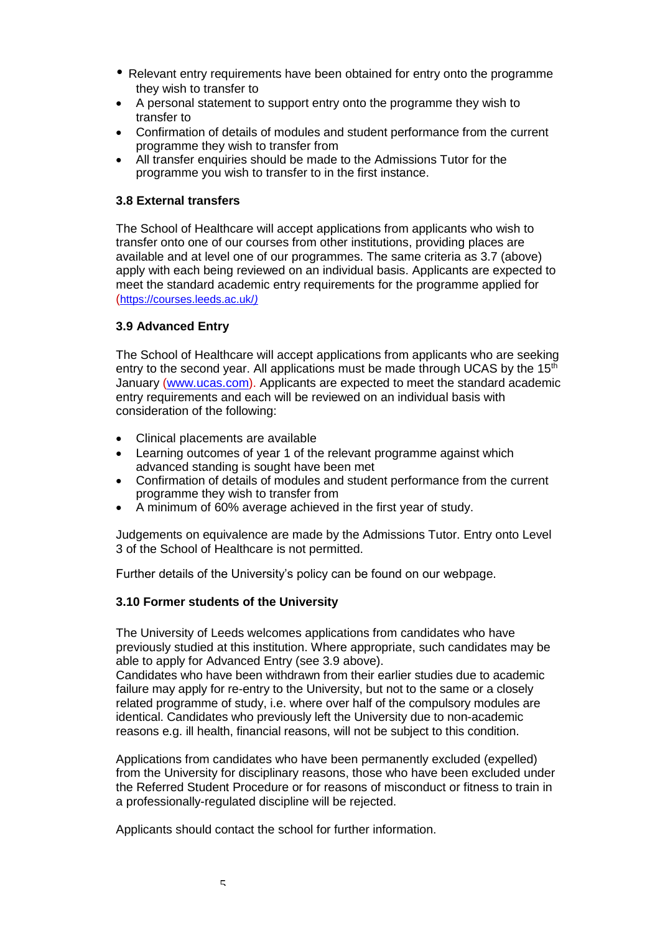- Relevant entry requirements have been obtained for entry onto the programme they wish to transfer to
- A personal statement to support entry onto the programme they wish to transfer to
- Confirmation of details of modules and student performance from the current programme they wish to transfer from
- All transfer enquiries should be made to the Admissions Tutor for the programme you wish to transfer to in the first instance.

### **3.8 External transfers**

The School of Healthcare will accept applications from applicants who wish to transfer onto one of our courses from other institutions, providing places are available and at level one of our programmes. The same criteria as 3.7 (above) apply with each being reviewed on an individual basis. Applicants are expected to meet the standard academic entry requirements for the programme applied for ([https://courses.leeds.ac.uk/](https://courses.leeds.ac.uk/))*)*

### **3.9 Advanced Entry**

The School of Healthcare will accept applications from applicants who are seeking entry to the second year. All applications must be made through UCAS by the  $15<sup>th</sup>$ January [\(www.ucas.com\)](http://www.ucas.com/). Applicants are expected to meet the standard academic entry requirements and each will be reviewed on an individual basis with consideration of the following:

- Clinical placements are available
- Learning outcomes of year 1 of the relevant programme against which advanced standing is sought have been met
- Confirmation of details of modules and student performance from the current programme they wish to transfer from
- A minimum of 60% average achieved in the first year of study.

Judgements on equivalence are made by the Admissions Tutor. Entry onto Level 3 of the School of Healthcare is not permitted.

Further details of the University's policy can be found on our webpage.

## **3.10 Former students of the University**

The University of Leeds welcomes applications from candidates who have previously studied at this institution. Where appropriate, such candidates may be able to apply for Advanced Entry (see 3.9 above).

Candidates who have been withdrawn from their earlier studies due to academic failure may apply for re-entry to the University, but not to the same or a closely related programme of study, i.e. where over half of the compulsory modules are identical. Candidates who previously left the University due to non-academic reasons e.g. ill health, financial reasons, will not be subject to this condition.

Applications from candidates who have been permanently excluded (expelled) from the University for disciplinary reasons, those who have been excluded under the Referred Student Procedure or for reasons of misconduct or fitness to train in a professionally-regulated discipline will be rejected.

Applicants should contact the school for further information.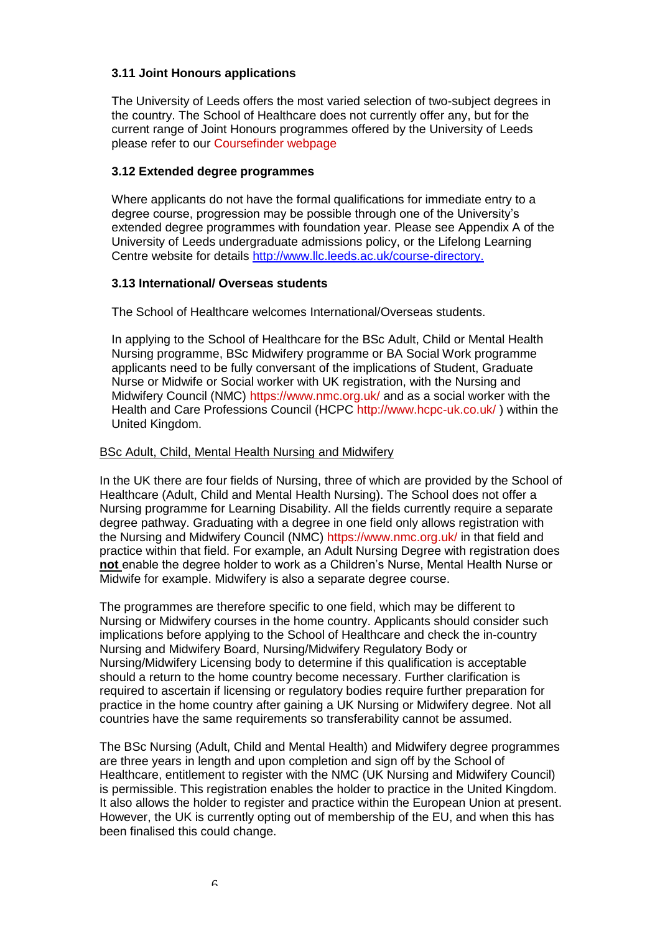# **3.11 Joint Honours applications**

The University of Leeds offers the most varied selection of two-subject degrees in the country. The School of Healthcare does not currently offer any, but for the current range of Joint Honours programmes offered by the University of Leeds please refer to our Coursefinder webpage

## **3.12 Extended degree programmes**

Where applicants do not have the formal qualifications for immediate entry to a degree course, progression may be possible through one of the University's extended degree programmes with foundation year. Please see Appendix A of the University of Leeds undergraduate admissions policy, or the Lifelong Learning Centre website for details <http://www.llc.leeds.ac.uk/course-directory.>

# **3.13 International/ Overseas students**

The School of Healthcare welcomes International/Overseas students.

In applying to the School of Healthcare for the BSc Adult, Child or Mental Health Nursing programme, BSc Midwifery programme or BA Social Work programme applicants need to be fully conversant of the implications of Student, Graduate Nurse or Midwife or Social worker with UK registration, with the Nursing and Midwifery Council (NMC) https://www.nmc.org.uk/ and as a social worker with the Health and Care Professions Council (HCPC http://www.hcpc-uk.co.uk/ ) within the United Kingdom.

# BSc Adult, Child, Mental Health Nursing and Midwifery

In the UK there are four fields of Nursing, three of which are provided by the School of Healthcare (Adult, Child and Mental Health Nursing). The School does not offer a Nursing programme for Learning Disability. All the fields currently require a separate degree pathway. Graduating with a degree in one field only allows registration with the Nursing and Midwifery Council (NMC) https://www.nmc.org.uk/ in that field and practice within that field. For example, an Adult Nursing Degree with registration does **not** enable the degree holder to work as a Children's Nurse, Mental Health Nurse or Midwife for example. Midwifery is also a separate degree course.

The programmes are therefore specific to one field, which may be different to Nursing or Midwifery courses in the home country. Applicants should consider such implications before applying to the School of Healthcare and check the in-country Nursing and Midwifery Board, Nursing/Midwifery Regulatory Body or Nursing/Midwifery Licensing body to determine if this qualification is acceptable should a return to the home country become necessary. Further clarification is required to ascertain if licensing or regulatory bodies require further preparation for practice in the home country after gaining a UK Nursing or Midwifery degree. Not all countries have the same requirements so transferability cannot be assumed.

The BSc Nursing (Adult, Child and Mental Health) and Midwifery degree programmes are three years in length and upon completion and sign off by the School of Healthcare, entitlement to register with the NMC (UK Nursing and Midwifery Council) is permissible. This registration enables the holder to practice in the United Kingdom. It also allows the holder to register and practice within the European Union at present. However, the UK is currently opting out of membership of the EU, and when this has been finalised this could change.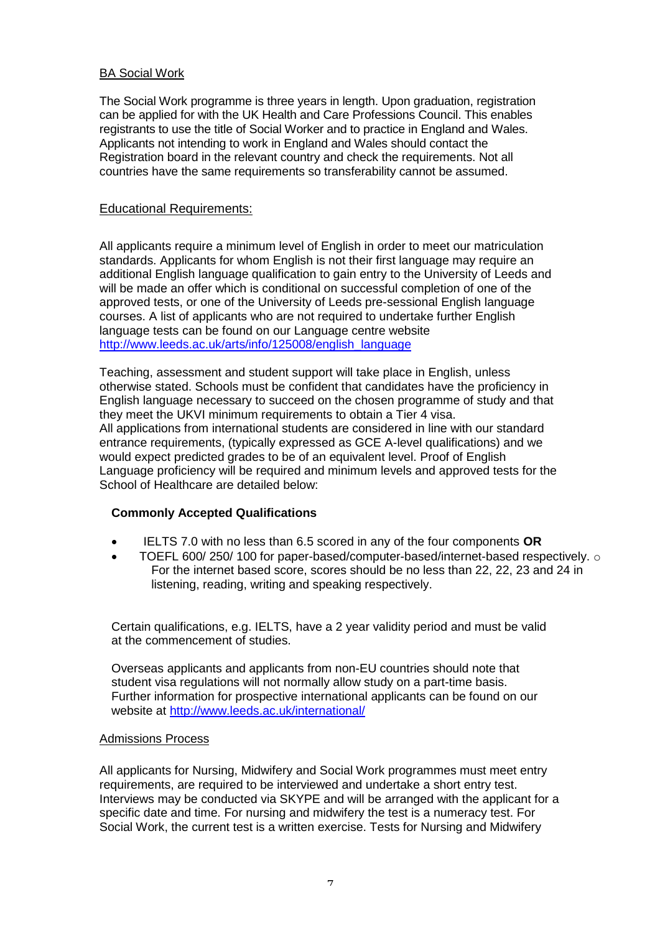## BA Social Work

The Social Work programme is three years in length. Upon graduation, registration can be applied for with the UK Health and Care Professions Council. This enables registrants to use the title of Social Worker and to practice in England and Wales. Applicants not intending to work in England and Wales should contact the Registration board in the relevant country and check the requirements. Not all countries have the same requirements so transferability cannot be assumed.

### Educational Requirements:

All applicants require a minimum level of English in order to meet our matriculation standards. Applicants for whom English is not their first language may require an additional English language qualification to gain entry to the University of Leeds and will be made an offer which is conditional on successful completion of one of the approved tests, or one of the University of Leeds pre-sessional English language courses. A list of applicants who are not required to undertake further English language tests can be found on our Language centre website [http://www.leeds.ac.uk/arts/info/125008/english\\_language](http://www.leeds.ac.uk/arts/info/125008/english_language)

Teaching, assessment and student support will take place in English, unless otherwise stated. Schools must be confident that candidates have the proficiency in English language necessary to succeed on the chosen programme of study and that they meet the UKVI minimum requirements to obtain a Tier 4 visa. All applications from international students are considered in line with our standard entrance requirements, (typically expressed as GCE A-level qualifications) and we would expect predicted grades to be of an equivalent level. Proof of English Language proficiency will be required and minimum levels and approved tests for the School of Healthcare are detailed below:

#### **Commonly Accepted Qualifications**

- IELTS 7.0 with no less than 6.5 scored in any of the four components **OR**
- TOEFL 600/ 250/ 100 for paper-based/computer-based/internet-based respectively. o For the internet based score, scores should be no less than 22, 22, 23 and 24 in listening, reading, writing and speaking respectively.

Certain qualifications, e.g. IELTS, have a 2 year validity period and must be valid at the commencement of studies.

Overseas applicants and applicants from non-EU countries should note that student visa regulations will not normally allow study on a part-time basis. Further information for prospective international applicants can be found on our website at <http://www.leeds.ac.uk/international/>

#### Admissions Process

All applicants for Nursing, Midwifery and Social Work programmes must meet entry requirements, are required to be interviewed and undertake a short entry test. Interviews may be conducted via SKYPE and will be arranged with the applicant for a specific date and time. For nursing and midwifery the test is a numeracy test. For Social Work, the current test is a written exercise. Tests for Nursing and Midwifery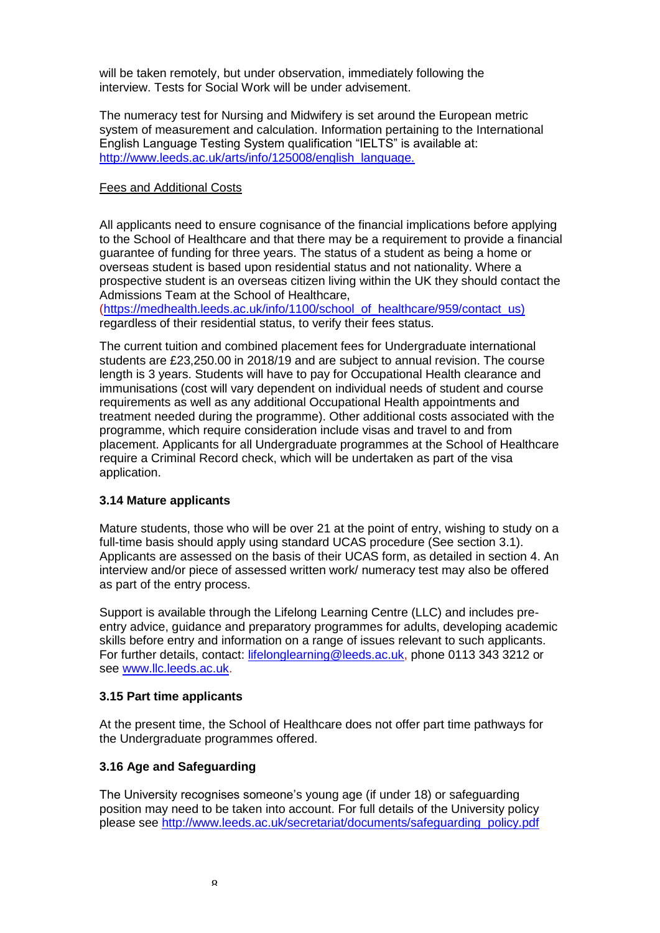will be taken remotely, but under observation, immediately following the interview. Tests for Social Work will be under advisement.

The numeracy test for Nursing and Midwifery is set around the European metric system of measurement and calculation. Information pertaining to the International English Language Testing System qualification "IELTS" is available at: [http://www.leeds.ac.uk/arts/info/125008/english\\_language.](http://www.leeds.ac.uk/arts/info/125008/english_language.)

### Fees and Additional Costs

All applicants need to ensure cognisance of the financial implications before applying to the School of Healthcare and that there may be a requirement to provide a financial guarantee of funding for three years. The status of a student as being a home or overseas student is based upon residential status and not nationality. Where a prospective student is an overseas citizen living within the UK they should contact the Admissions Team at the School of Healthcare,

[\(https://medhealth.leeds.ac.uk/info/1100/school\\_of\\_healthcare/959/contact\\_us\)](https://medhealth.leeds.ac.uk/info/1100/school_of_healthcare/959/contact_us)) regardless of their residential status, to verify their fees status.

The current tuition and combined placement fees for Undergraduate international students are £23,250.00 in 2018/19 and are subject to annual revision. The course length is 3 years. Students will have to pay for Occupational Health clearance and immunisations (cost will vary dependent on individual needs of student and course requirements as well as any additional Occupational Health appointments and treatment needed during the programme). Other additional costs associated with the programme, which require consideration include visas and travel to and from placement. Applicants for all Undergraduate programmes at the School of Healthcare require a Criminal Record check, which will be undertaken as part of the visa application.

## **3.14 Mature applicants**

Mature students, those who will be over 21 at the point of entry, wishing to study on a full-time basis should apply using standard UCAS procedure (See section 3.1). Applicants are assessed on the basis of their UCAS form, as detailed in section 4. An interview and/or piece of assessed written work/ numeracy test may also be offered as part of the entry process.

Support is available through the Lifelong Learning Centre (LLC) and includes preentry advice, guidance and preparatory programmes for adults, developing academic skills before entry and information on a range of issues relevant to such applicants. For further details, contact: [lifelonglearning@leeds.ac.uk,](mailto:lifelonglearning@leeds.ac.uk) phone 0113 343 3212 or see [www.llc.leeds.ac.uk.](http://www.llc.leeds.ac.uk/)

#### **3.15 Part time applicants**

At the present time, the School of Healthcare does not offer part time pathways for the Undergraduate programmes offered.

## **3.16 Age and Safeguarding**

The University recognises someone's young age (if under 18) or safeguarding position may need to be taken into account. For full details of the University policy please see [http://www.leeds.ac.uk/secretariat/documents/safeguarding\\_policy.pdf](http://www.leeds.ac.uk/secretariat/documents/safeguarding_policy.pdf)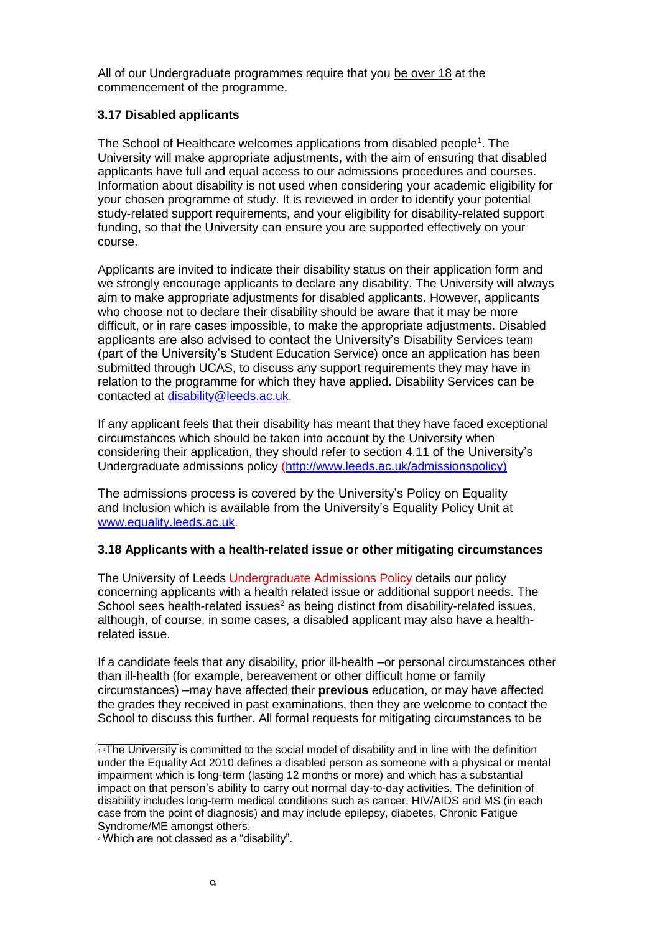All of our Undergraduate programmes require that you be over 18 at the commencement of the programme.

# **3.17 Disabled applicants**

The School of Healthcare welcomes applications from disabled people<sup>1</sup>. The University will make appropriate adjustments, with the aim of ensuring that disabled applicants have full and equal access to our admissions procedures and courses. Information about disability is not used when considering your academic eligibility for your chosen programme of study. It is reviewed in order to identify your potential study-related support requirements, and your eligibility for disability-related support funding, so that the University can ensure you are supported effectively on your course.

Applicants are invited to indicate their disability status on their application form and we strongly encourage applicants to declare any disability. The University will always aim to make appropriate adjustments for disabled applicants. However, applicants who choose not to declare their disability should be aware that it may be more difficult, or in rare cases impossible, to make the appropriate adjustments. Disabled applicants are also advised to contact the University's Disability Services team (part of the University's Student Education Service) once an application has been submitted through UCAS, to discuss any support requirements they may have in relation to the programme for which they have applied. Disability Services can be contacted at [disability@leeds.ac.uk.](mailto:disability@leeds.ac.uk)

If any applicant feels that their disability has meant that they have faced exceptional circumstances which should be taken into account by the University when considering their application, they should refer to section 4.11 of the University's Undergraduate admissions policy [\(http://www.leeds.ac.uk/admissionspolicy\)](http://www.leeds.ac.uk/admissionspolicy))

The admissions process is covered by the University's Policy on Equality and Inclusion which is available from the University's Equality Policy Unit at [www.equality.leeds.ac.uk.](http://www.equality.leeds.ac.uk/)

## **3.18 Applicants with a health-related issue or other mitigating circumstances**

The University of Leeds Undergraduate Admissions Policy details our policy concerning applicants with a health related issue or additional support needs. The School sees health-related issues $2$  as being distinct from disability-related issues, although, of course, in some cases, a disabled applicant may also have a healthrelated issue.

If a candidate feels that any disability, prior ill-health –or personal circumstances other than ill-health (for example, bereavement or other difficult home or family circumstances) –may have affected their **previous** education, or may have affected the grades they received in past examinations, then they are welcome to contact the School to discuss this further. All formal requests for mitigating circumstances to be

 $\frac{1}{11}$ The University is committed to the social model of disability and in line with the definition under the Equality Act 2010 defines a disabled person as someone with a physical or mental impairment which is long-term (lasting 12 months or more) and which has a substantial impact on that person's ability to carry out normal day-to-day activities. The definition of disability includes long-term medical conditions such as cancer, HIV/AIDS and MS (in each case from the point of diagnosis) and may include epilepsy, diabetes, Chronic Fatigue Syndrome/ME amongst others.

<sup>&</sup>lt;sup>2</sup> Which are not classed as a "disability".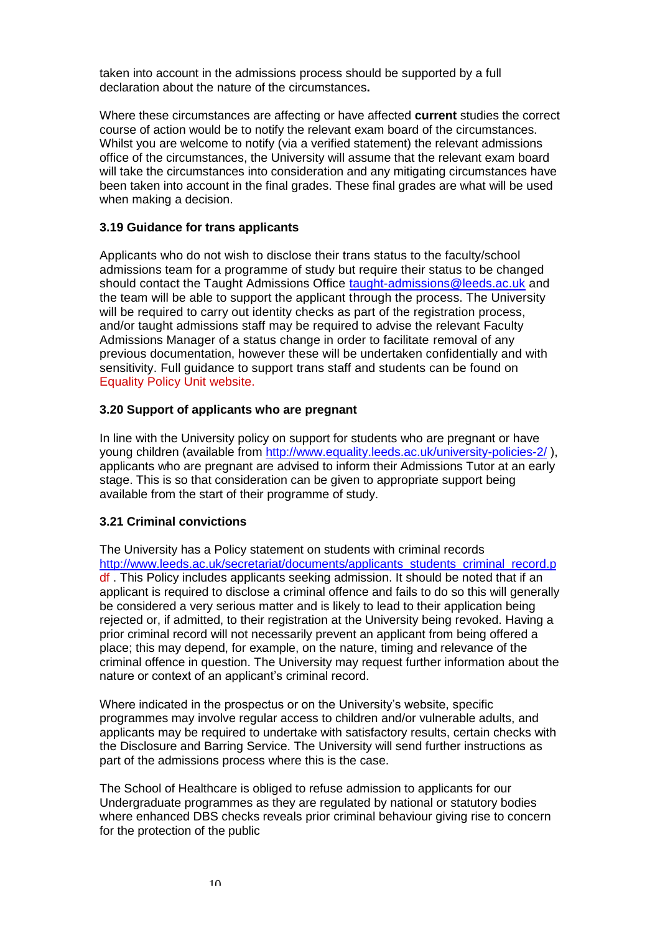taken into account in the admissions process should be supported by a full declaration about the nature of the circumstances**.**

Where these circumstances are affecting or have affected **current** studies the correct course of action would be to notify the relevant exam board of the circumstances. Whilst you are welcome to notify (via a verified statement) the relevant admissions office of the circumstances, the University will assume that the relevant exam board will take the circumstances into consideration and any mitigating circumstances have been taken into account in the final grades. These final grades are what will be used when making a decision.

### **3.19 Guidance for trans applicants**

Applicants who do not wish to disclose their trans status to the faculty/school admissions team for a programme of study but require their status to be changed should contact the Taught Admissions Office [taught-admissions@leeds.ac.uk](mailto:taught-admissions@leeds.ac.uk) and the team will be able to support the applicant through the process. The University will be required to carry out identity checks as part of the registration process, and/or taught admissions staff may be required to advise the relevant Faculty Admissions Manager of a status change in order to facilitate removal of any previous documentation, however these will be undertaken confidentially and with sensitivity. Full guidance to support trans staff and students can be found on Equality Policy Unit website.

#### **3.20 Support of applicants who are pregnant**

In line with the University policy on support for students who are pregnant or have young children (available from <http://www.equality.leeds.ac.uk/university-policies-2/>), applicants who are pregnant are advised to inform their Admissions Tutor at an early stage. This is so that consideration can be given to appropriate support being available from the start of their programme of study.

## **3.21 Criminal convictions**

The University has a Policy statement on students with criminal records [http://www.leeds.ac.uk/secretariat/documents/applicants\\_students\\_criminal\\_record.p](http://www.leeds.ac.uk/secretariat/documents/applicants_students_criminal_record.p) df . This Policy includes applicants seeking admission. It should be noted that if an applicant is required to disclose a criminal offence and fails to do so this will generally be considered a very serious matter and is likely to lead to their application being rejected or, if admitted, to their registration at the University being revoked. Having a prior criminal record will not necessarily prevent an applicant from being offered a place; this may depend, for example, on the nature, timing and relevance of the criminal offence in question. The University may request further information about the nature or context of an applicant's criminal record.

Where indicated in the prospectus or on the University's website, specific programmes may involve regular access to children and/or vulnerable adults, and applicants may be required to undertake with satisfactory results, certain checks with the Disclosure and Barring Service. The University will send further instructions as part of the admissions process where this is the case.

The School of Healthcare is obliged to refuse admission to applicants for our Undergraduate programmes as they are regulated by national or statutory bodies where enhanced DBS checks reveals prior criminal behaviour giving rise to concern for the protection of the public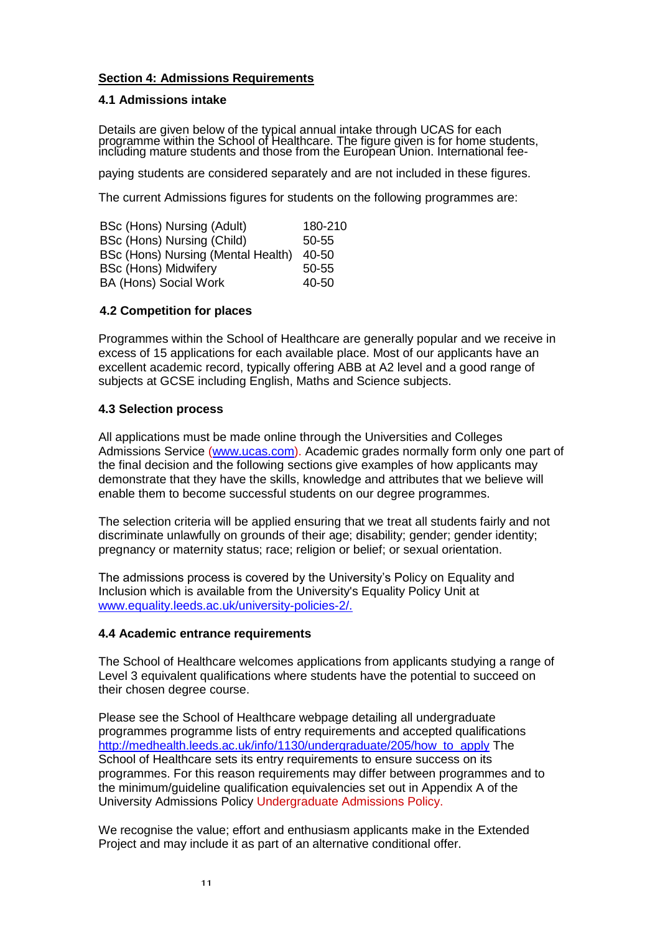## **Section 4: Admissions Requirements**

#### **4.1 Admissions intake**

Details are given below of the typical annual intake through UCAS for each programme within the School of Healthcare. The figure given is for home students, including mature students and those from the European Union. International fee-

paying students are considered separately and are not included in these figures.

The current Admissions figures for students on the following programmes are:

| BSc (Hons) Nursing (Adult)         | 180-210 |
|------------------------------------|---------|
| BSc (Hons) Nursing (Child)         | 50-55   |
| BSc (Hons) Nursing (Mental Health) | 40-50   |
| <b>BSc (Hons) Midwifery</b>        | 50-55   |
| <b>BA (Hons) Social Work</b>       | 40-50   |

#### **4.2 Competition for places**

Programmes within the School of Healthcare are generally popular and we receive in excess of 15 applications for each available place. Most of our applicants have an excellent academic record, typically offering ABB at A2 level and a good range of subjects at GCSE including English, Maths and Science subjects.

### **4.3 Selection process**

All applications must be made online through the Universities and Colleges Admissions Service [\(www.ucas.com\)](http://www.ucas.com/). Academic grades normally form only one part of the final decision and the following sections give examples of how applicants may demonstrate that they have the skills, knowledge and attributes that we believe will enable them to become successful students on our degree programmes.

The selection criteria will be applied ensuring that we treat all students fairly and not discriminate unlawfully on grounds of their age; disability; gender; gender identity; pregnancy or maternity status; race; religion or belief; or sexual orientation.

The admissions process is covered by the University's Policy on Equality and Inclusion which is available from the University's Equality Policy Unit at [www.equality.leeds.ac.uk/university-policies-2/.](http://www.equality.leeds.ac.uk/university-policies-2/)

#### **4.4 Academic entrance requirements**

The School of Healthcare welcomes applications from applicants studying a range of Level 3 equivalent qualifications where students have the potential to succeed on their chosen degree course.

Please see the School of Healthcare webpage detailing all undergraduate programmes programme lists of entry requirements and accepted qualifications [http://medhealth.leeds.ac.uk/info/1130/undergraduate/205/how\\_to\\_apply](http://medhealth.leeds.ac.uk/info/1130/undergraduate/205/how_to_apply) The School of Healthcare sets its entry requirements to ensure success on its programmes. For this reason requirements may differ between programmes and to the minimum/guideline qualification equivalencies set out in Appendix A of the University Admissions Policy Undergraduate Admissions Policy.

We recognise the value; effort and enthusiasm applicants make in the Extended Project and may include it as part of an alternative conditional offer.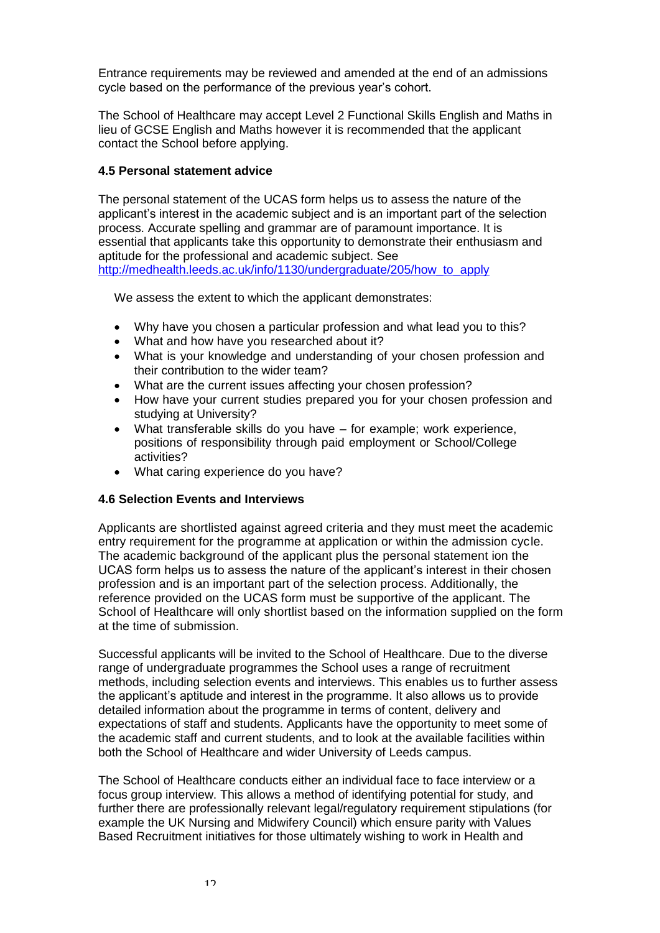Entrance requirements may be reviewed and amended at the end of an admissions cycle based on the performance of the previous year's cohort.

The School of Healthcare may accept Level 2 Functional Skills English and Maths in lieu of GCSE English and Maths however it is recommended that the applicant contact the School before applying.

### **4.5 Personal statement advice**

The personal statement of the UCAS form helps us to assess the nature of the applicant's interest in the academic subject and is an important part of the selection process. Accurate spelling and grammar are of paramount importance. It is essential that applicants take this opportunity to demonstrate their enthusiasm and aptitude for the professional and academic subject. See [http://medhealth.leeds.ac.uk/info/1130/undergraduate/205/how\\_to\\_apply](http://medhealth.leeds.ac.uk/info/1130/undergraduate/205/how_to_apply)

We assess the extent to which the applicant demonstrates:

- Why have you chosen a particular profession and what lead you to this?
- What and how have you researched about it?
- What is your knowledge and understanding of your chosen profession and their contribution to the wider team?
- What are the current issues affecting your chosen profession?
- How have your current studies prepared you for your chosen profession and studying at University?
- What transferable skills do you have for example; work experience, positions of responsibility through paid employment or School/College activities?
- What caring experience do you have?

## **4.6 Selection Events and Interviews**

Applicants are shortlisted against agreed criteria and they must meet the academic entry requirement for the programme at application or within the admission cycle. The academic background of the applicant plus the personal statement ion the UCAS form helps us to assess the nature of the applicant's interest in their chosen profession and is an important part of the selection process. Additionally, the reference provided on the UCAS form must be supportive of the applicant. The School of Healthcare will only shortlist based on the information supplied on the form at the time of submission.

Successful applicants will be invited to the School of Healthcare. Due to the diverse range of undergraduate programmes the School uses a range of recruitment methods, including selection events and interviews. This enables us to further assess the applicant's aptitude and interest in the programme. It also allows us to provide detailed information about the programme in terms of content, delivery and expectations of staff and students. Applicants have the opportunity to meet some of the academic staff and current students, and to look at the available facilities within both the School of Healthcare and wider University of Leeds campus.

The School of Healthcare conducts either an individual face to face interview or a focus group interview. This allows a method of identifying potential for study, and further there are professionally relevant legal/regulatory requirement stipulations (for example the UK Nursing and Midwifery Council) which ensure parity with Values Based Recruitment initiatives for those ultimately wishing to work in Health and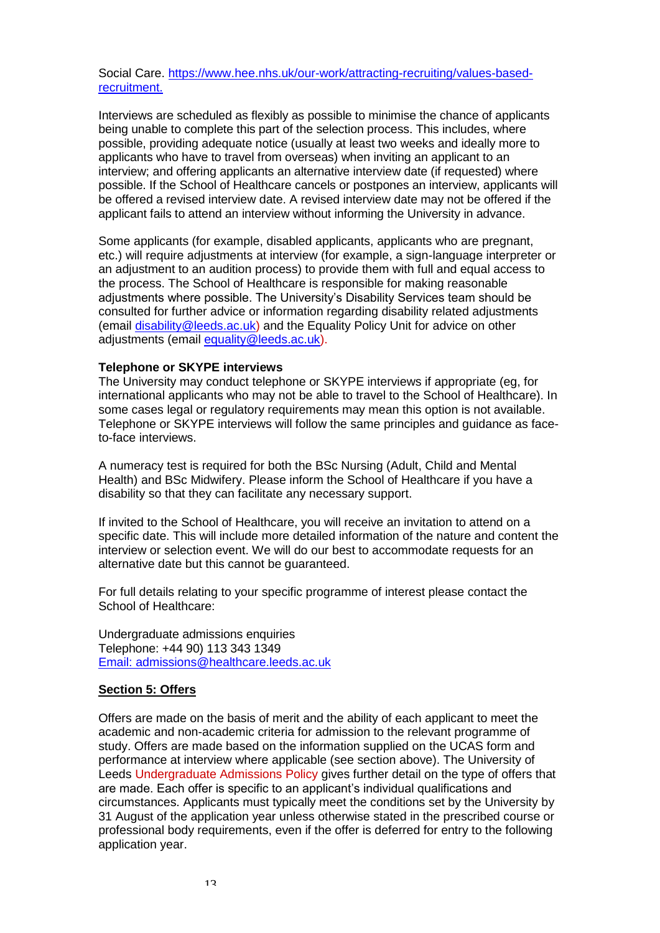## Social Care. [https://www.hee.nhs.uk/our-work/attracting-recruiting/values-based](https://www.hee.nhs.uk/our-work/attracting-recruiting/values-based-recruitment.)[recruitment.](https://www.hee.nhs.uk/our-work/attracting-recruiting/values-based-recruitment.)

Interviews are scheduled as flexibly as possible to minimise the chance of applicants being unable to complete this part of the selection process. This includes, where possible, providing adequate notice (usually at least two weeks and ideally more to applicants who have to travel from overseas) when inviting an applicant to an interview; and offering applicants an alternative interview date (if requested) where possible. If the School of Healthcare cancels or postpones an interview, applicants will be offered a revised interview date. A revised interview date may not be offered if the applicant fails to attend an interview without informing the University in advance.

Some applicants (for example, disabled applicants, applicants who are pregnant, etc.) will require adjustments at interview (for example, a sign-language interpreter or an adjustment to an audition process) to provide them with full and equal access to the process. The School of Healthcare is responsible for making reasonable adjustments where possible. The University's Disability Services team should be consulted for further advice or information regarding disability related adjustments (email [disability@leeds.ac.uk\)](mailto:disability@leeds.ac.uk) and the Equality Policy Unit for advice on other adjustments (email [equality@leeds.ac.uk\)](mailto:equality@leeds.ac.uk).

#### **Telephone or SKYPE interviews**

The University may conduct telephone or SKYPE interviews if appropriate (eg, for international applicants who may not be able to travel to the School of Healthcare). In some cases legal or regulatory requirements may mean this option is not available. Telephone or SKYPE interviews will follow the same principles and guidance as faceto-face interviews.

A numeracy test is required for both the BSc Nursing (Adult, Child and Mental Health) and BSc Midwifery. Please inform the School of Healthcare if you have a disability so that they can facilitate any necessary support.

If invited to the School of Healthcare, you will receive an invitation to attend on a specific date. This will include more detailed information of the nature and content the interview or selection event. We will do our best to accommodate requests for an alternative date but this cannot be guaranteed.

For full details relating to your specific programme of interest please contact the School of Healthcare:

Undergraduate admissions enquiries Telephone: +44 90) 113 343 1349 [Email: admissions@healthcare.leeds.ac.uk](mailto:admissions@healthcare.leeds.ac.uk)

## **Section 5: Offers**

Offers are made on the basis of merit and the ability of each applicant to meet the academic and non-academic criteria for admission to the relevant programme of study. Offers are made based on the information supplied on the UCAS form and performance at interview where applicable (see section above). The University of Leeds Undergraduate Admissions Policy gives further detail on the type of offers that are made. Each offer is specific to an applicant's individual qualifications and circumstances. Applicants must typically meet the conditions set by the University by 31 August of the application year unless otherwise stated in the prescribed course or professional body requirements, even if the offer is deferred for entry to the following application year.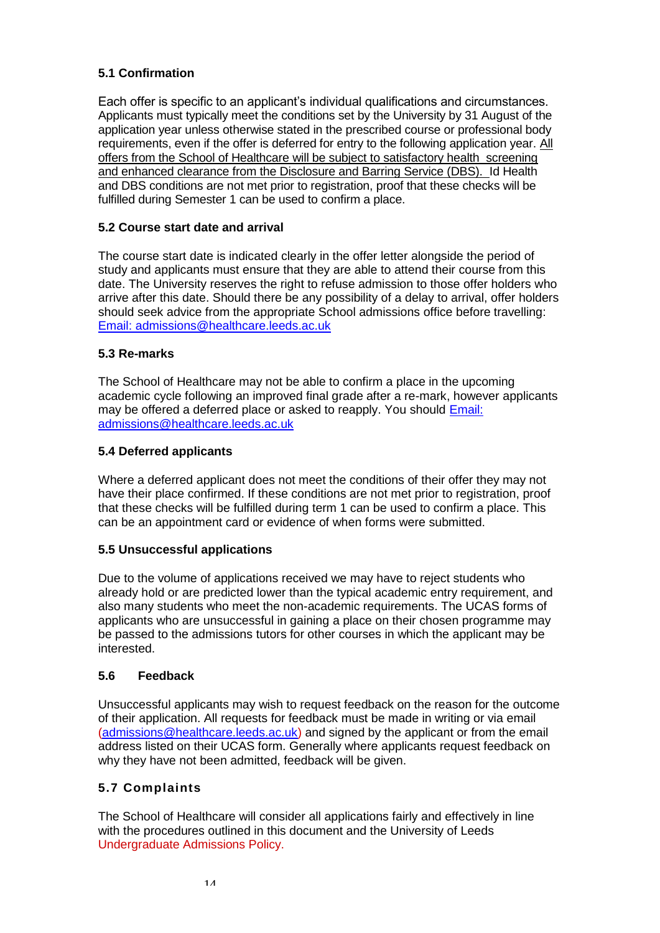# **5.1 Confirmation**

Each offer is specific to an applicant's individual qualifications and circumstances. Applicants must typically meet the conditions set by the University by 31 August of the application year unless otherwise stated in the prescribed course or professional body requirements, even if the offer is deferred for entry to the following application year. All offers from the School of Healthcare will be subject to satisfactory health screening and enhanced clearance from the Disclosure and Barring Service (DBS). Id Health and DBS conditions are not met prior to registration, proof that these checks will be fulfilled during Semester 1 can be used to confirm a place.

# **5.2 Course start date and arrival**

The course start date is indicated clearly in the offer letter alongside the period of study and applicants must ensure that they are able to attend their course from this date. The University reserves the right to refuse admission to those offer holders who arrive after this date. Should there be any possibility of a delay to arrival, offer holders should seek advice from the appropriate School admissions office before travelling: [Email: admissions@healthcare.leeds.ac.uk](mailto:admissions@healthcare.leeds.ac.uk)

# **5.3 Re-marks**

The School of Healthcare may not be able to confirm a place in the upcoming academic cycle following an improved final grade after a re-mark, however applicants may be offered a deferred place or asked to reapply. You should [Email:](mailto:admissions@healthcare.leeds.ac.uk)  [admissions@healthcare.leeds.ac.uk](mailto:admissions@healthcare.leeds.ac.uk)

## **5.4 Deferred applicants**

Where a deferred applicant does not meet the conditions of their offer they may not have their place confirmed. If these conditions are not met prior to registration, proof that these checks will be fulfilled during term 1 can be used to confirm a place. This can be an appointment card or evidence of when forms were submitted.

## **5.5 Unsuccessful applications**

Due to the volume of applications received we may have to reject students who already hold or are predicted lower than the typical academic entry requirement, and also many students who meet the non-academic requirements. The UCAS forms of applicants who are unsuccessful in gaining a place on their chosen programme may be passed to the admissions tutors for other courses in which the applicant may be interested.

## **5.6 Feedback**

Unsuccessful applicants may wish to request feedback on the reason for the outcome of their application. All requests for feedback must be made in writing or via email [\(admissions@healthcare.leeds.ac.uk\)](mailto:admissions@healthcare.leeds.ac.uk) and signed by the applicant or from the email address listed on their UCAS form. Generally where applicants request feedback on why they have not been admitted, feedback will be given.

# **5.7 Complaints**

The School of Healthcare will consider all applications fairly and effectively in line with the procedures outlined in this document and the University of Leeds Undergraduate Admissions Policy.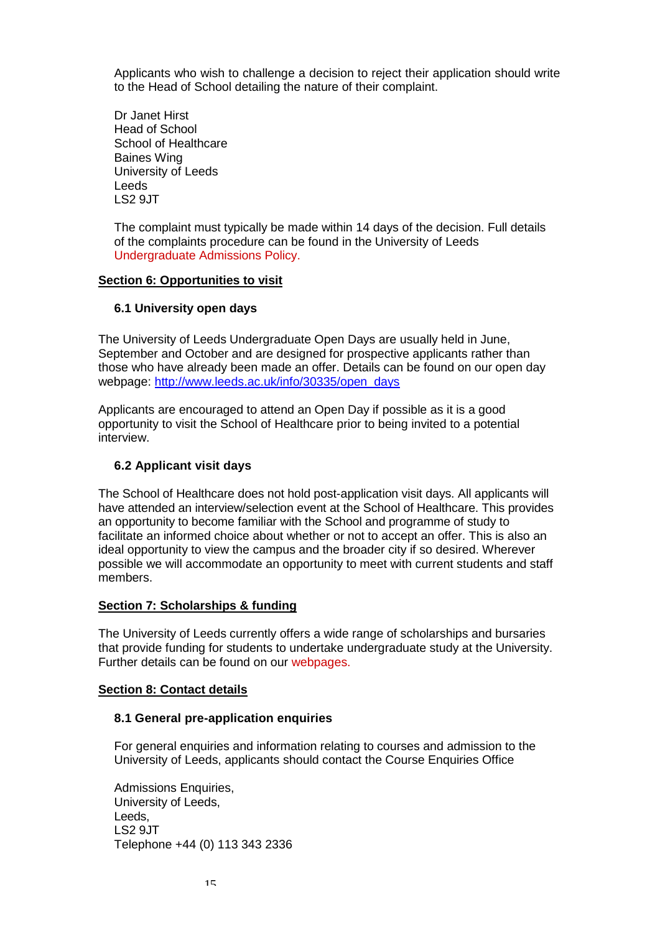Applicants who wish to challenge a decision to reject their application should write to the Head of School detailing the nature of their complaint.

Dr Janet Hirst Head of School School of Healthcare Baines Wing University of Leeds Leeds LS2 9JT

The complaint must typically be made within 14 days of the decision. Full details of the complaints procedure can be found in the University of Leeds Undergraduate Admissions Policy.

#### **Section 6: Opportunities to visit**

## **6.1 University open days**

The University of Leeds Undergraduate Open Days are usually held in June, September and October and are designed for prospective applicants rather than those who have already been made an offer. Details can be found on our open day webpage: [http://www.leeds.ac.uk/info/30335/open\\_days](http://www.leeds.ac.uk/info/30335/open_days)

Applicants are encouraged to attend an Open Day if possible as it is a good opportunity to visit the School of Healthcare prior to being invited to a potential interview.

## **6.2 Applicant visit days**

The School of Healthcare does not hold post-application visit days. All applicants will have attended an interview/selection event at the School of Healthcare. This provides an opportunity to become familiar with the School and programme of study to facilitate an informed choice about whether or not to accept an offer. This is also an ideal opportunity to view the campus and the broader city if so desired. Wherever possible we will accommodate an opportunity to meet with current students and staff members.

## **Section 7: Scholarships & funding**

The University of Leeds currently offers a wide range of scholarships and bursaries that provide funding for students to undertake undergraduate study at the University. Further details can be found on our webpages.

#### **Section 8: Contact details**

#### **8.1 General pre-application enquiries**

For general enquiries and information relating to courses and admission to the University of Leeds, applicants should contact the Course Enquiries Office

Admissions Enquiries, University of Leeds, Leeds, LS2 9JT Telephone +44 (0) 113 343 2336